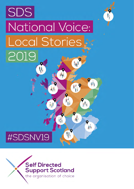# SDS National Voice: **Local Stories** 2019 AIP

M

 $\vec{A}_{\vec{A}}$ 

A<sub>U</sub>

Children

AA

顧

橋

HP

U.

# #SDSNV19

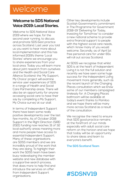## welcome

### **Welcome to SDS National Voice 2019: Local Stories.**

Welcome to SDS National Voice 2019 where we hope, for the second year running, to discuss and promote SDS best practice across Scotland. Last year you told us you want to hear more about local implementation and this has informed 2019's theme 'Local Stories' where we encourage you to share experiences from your local area. Today you will learn more about joint research from ourselves and the Health and Social Care Alliance Scotland: the 'My Support, My Choice' project will examine service user experiences of SDS in a range of Health and Social Care Partnership areas. There will also be an opportunity for anyone accessing social care to have their say by completing a My Support, My Choice survey at our stall.

In terms of Independent Support there have been some really positive developments over the last few months. As of October 2018 Support in the Right Direction (SiRD 2021) funding now reaches 31 of 32 local authority areas meaning more and more people have access to essential Independent Support. Many of these organisations are SDSS members and we are incredibly proud of the work that they are doing. To highlight their work the SDSS team have been busy redeveloping the member website and new database with a supportive search process, that does more to help find and introduce the services on offer from Independent Support organisations.

Other key developments include Scottish Government's commitment in The Programme for Government 2018-19 'Delivering for Today, Investing for Tomorrow' to consider a new national scheme to provide extra financial support to people with the highest social care needs, which I know many of you would welcome. Secondly, as of April 1st free personal care for under 65s will roll out across Scotland.

At SDSS we recognise that whilst SDS is at the heart of Independent Living it is not the full solution and recently we have seen some huge success for the Independent Living movement more generally, such as the recent launch of the Changing Places consultation which we know some of our members campaigned tirelessly for. A Changing Places bathroom will be available at today's event thanks to Pamiloo and we hope there will be many more across Scotland as a result of the consultation.

We recognise the need to ensure that SDS good practice remains at the forefront of our minds especially with adult social care reform on the horizon and we hope that today will be an opportunity to share ideas and learn to everyone's benefit.

#### **The SDS Scotland Team**

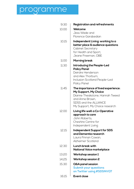# programme

| 9:30  | <b>Registration and refreshments</b>                                                                                                                                                 |
|-------|--------------------------------------------------------------------------------------------------------------------------------------------------------------------------------------|
| 10.00 | Welcome<br>Jess Wade and<br>Florence Garabedian                                                                                                                                      |
| 10.15 | Independent Living: working to a<br>better place & audience questions<br><b>Cabinet Secretary</b><br>for Health and Sport,<br>Jeane Freeman, OBE                                     |
| 11.00 | <b>Morning break</b>                                                                                                                                                                 |
| 11.30 | <b>Introducing the People-Led</b><br><b>Policy Panel</b><br>Deirdre Henderson<br>and Alex Thorburn,<br><b>Inclusion Scotland People-Led</b><br>Policy Panel                          |
| 11.45 | The importance of lived experience:<br>My Support, My Choice<br>Dianne Theakstone, Hannah Tweed<br>and Anne Brown.<br><b>SDSS and the ALLIANCE</b><br>My Support, My Choice research |
| 12.00 | Living life well: a Co-Operative<br>approach to care<br>John Roberts.<br><b>Cheshire Centre for</b><br>Independent Living                                                            |
| 12.15 | Independent Support for SDS<br>and Dementia research<br>Laura Finnan Cowan.<br>Alzheimer Scotland                                                                                    |
| 12.30 | Lunch break with<br><b>National Voice marketplace</b>                                                                                                                                |
| 13.20 | <b>Workshop session 1</b>                                                                                                                                                            |
| 14.25 | <b>Workshop session 2</b>                                                                                                                                                            |
| 15.30 | Q&A panel session<br><b>Submit your questions</b><br>on Twitter using #SDSNVQT                                                                                                       |
| 16.15 | Event close                                                                                                                                                                          |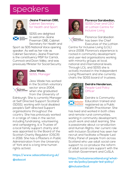## speakers



**Jeane Freeman OBE,** Cabinet Secretary for Health and Sport

SDSS are delighted to welcome Jeane Freeman OBE, Cabinet Secretary for Health and

Sport as SDS National Voice opening speaker. As well as her role as Cabinet Secretary Jeane Freeman is the constituency MSP for Carrick, Cumnock and Doon Valley, and was previously Minister for Social Security.



Self Directed<br>Support Scotland

### **Jess Wade,**

SDSS, Manager

Jess Wade has worked in the Scottish voluntary sector since 2004, when she graduated from the University of

Edinburgh. She is currently Manager at Self Directed Support Scotland (SDSS), working with local disabled people's Self-directed Support organisations throughout the country. She has previously worked in a range of roles in the sector, including fundraising, volunteering and campaigning, is a Trustee of a local family support charity and was appointed to the Board of the Scottish Charity Regulator (OSCR) in 2016. She has a Masters in Public Administration from the University of York and is a long time human rights activist.

### **https://www.sdsscotland.org.uk/ @sdsscot**



#### **Florence Garabedian,**  SDSS Chair and CEO at Lothian Centre for

Inclusive Living



Florence Garabedian has been the Chief Executive of the Lothian

Centre for Inclusive Living (LCiL) since 2008. Florence's experience is rooted in community development and user-led organisations working with minority groups at local, national and international levels. Through LCiL and SDSS she is actively involved in the Independent Living Movement and she currently chairs the SDSS board of trustees.



#### **Deirdre Henderson,** People-Led Policy **Officer**

Inclusion **Scotland** 

Deirdre is Community Education trained and registered as a Public Health Practitioner. She

has lived and worked in both cities and remote rural communities, working in community development, youth work and adult learning. She is passionate about co-production and Human Rights. Her current role with Inclusion Scotland has seen her recruit and facilitate a People-Led Policy Panel of people from across Scotland who use adult social care support to co-produce the reform of adult social care support with the Scottish Government and CoSLA.

**https://inclusionscotland.org/whatwe-do/policy/people-led-policy/**

**@InclusionScot**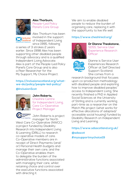

#### **Alex Thorburn,**  People–Led Policy Panel's Core Group

Inclusion **Scotland** 

Alex Thorburn has been involved in the support of Independent Living since 1995, following

a series of 3 strokes 2 years earlier. Since 1998 Alex has been supporting other disabled people through advocacy and is a qualified Independent Living Advocate. Alex is part of the People-Led Policy Panel's Core Group and is also a Peer Researcher for the My Support, My Choice Project.

#### **https://inclusionscotland.org/whatwe-do/policy/people-led-policy/**

#### **@InclusionScot**



#### **John Roberts,**

Cheshire Centre for Independent Living, Care Co-Operative Project Manager



John Roberts is project manager for North

West Care Co-Operative (NWCC) a project funded by Disability Research into Independent Living & Learning (DRILL) to research co-operative models of care. Co-Operative members are in receipt of Direct Payments (and/ or) Personal Health budgets and manage their own care, and the Co-Operative enables them to delegate the burden of the administrative functions associated with managing their care, whilst retaining choice and control over the executive functions associated with directing it.

We aim to enable disabled people to reduce the burden of organising care, replacing it with the opportunity to live life well.

#### **https://www.cheshirecil.org/**



ehotee

**Dr Dianne Theakstone,** SDSS, Service User Experience Research **Officer** 

Dianne is Service User Experiences Research Officer at Self Directed Support Scotland. She comes from a

research background that focuses upon co-production methodology with disabled people and exploring how to improve disabled peoples' access to Independent Living. She recently finished a PhD in Applied Social Sciences at the University of Stirling and is currently working part-time as a researcher on the Match Me project (what works for effective allocations of adapted/ accessible social housing) funded by Disability Research on Independent Living and Learning.

**https://www.sdsscotland.org.uk/ @sdsscot #mysupportmychoice19**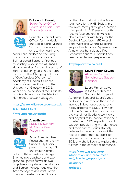

**Dr Hannah Tweed,** Senior Policy Officer, Health and Social Care Alliance Scotland



Hannah is Senior Policy Officer for the Health and Social Care Alliance Scotland. She works across the health and

social care landscape, focusing particularly on social care and Self-directed Support. Previous to starting work at the ALLIANCE Hannah worked for the University of York, researching care in the home as part of the 'Changing Cultures of Care' project (Wellcome/ Academy of Medical Sciences). She obtained her PhD from the University of Glasgow in 2015, where she co-founded the Disability Studies Network and the Medical Humanities Network Glasgow.

### **https://www.alliance-scotland.org.uk @ALLIANCEScot**

#### **#mysupportmychoice19**



**Anne Brown,**  SDSS, My Support,

My Choice Peer Researcher



Anne Brown is a Peer Researcher for the My Support, My Choice project. Anne has MS and lives in Carron,

Falkirk with her husband George. She has two daughters and two granddaughters as well as two dogs. Previously Anne was a Holland and Barrett Manager and also the Area Manager's Assistant. In this role she travelled all over Scotland

and Northern Ireland. Today Anne volunteers for the MS Society in a few roles, mostly through co-hosting "Living well with MS" sessions both face to face and online. Anne is also a volunteer with Riding for the Disabled Association (RDA) and is the West and Central Scotland Regional Participants Representative. Anne enjoys her role as a Peer Researcher but tells us that it has been a real learning experience.

#### **#mysupportmychoice19**



**Laura Finnan Cowan,**  Alzheimer Scotland, Self-directed Support Manager



Laura Finnan Cowan is the Self-directed Support Manager at

Alzheimer Scotland. Laura's vast and varied role means that she is involved in both operational and policy aspects of SDS. A key part of Laura's role is about supporting the Alzheimer Scotland workforce and beyond to be confident in their knowledge of SDS legislation and to support people living with dementia and their carers. Laura strongly believes in the importance of the role of independent support for people as they access and manage SDS, and she is keen to explore this further in the context of dementia.

**https://www.alzscot.org/ information\_and\_resources/ self\_directed\_support\_sds**

**@Lafinnco @alzscot**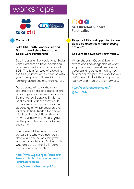# workshops



#### **Game on!**

#### **Take Ctrl South Lanarkshire and South Lanarkshire Health and Social Care Partnership.**

South Lanarkshire Health and Social Care Partnership have developed an interactive board game about SDS. This is a fun way of exploring the SDS journey while engaging with young people and those living with learning disabilities and their carers.

Participants will work their way around the board and discover the advantages and issues surrounding Self-directed Support. Similar to Snakes and Ladders they would move ahead or go back a space depending on which squares they land on. Initially trialled for people with learning disabilities, the game may be used with any care group as the principles behind SDS are the same.

The game will be demonstrated by Caroline who was involved in developing the game along with Andrea Tannahill and Andrea Tallis who are part of the SDS Team within South Lanarkshire.

**http://www.gcil.org.uk/support/ take-control/take-control-southlanarkshire.aspx**

**http://www.slhscp.org.uk/**



**Responsibility and opportunity how do we balance this when choosing option 1?** 

#### **Self Directed Support Forth Valley.**

When choosing Option 1 being aware and knowledgeable of what employer's responsibilities are is a good starting point in making your support arrangements work for you. Let's take a look at the compliance journey and map the way forward.

**http://sdsforthvalley.co.uk/ @ForthSds**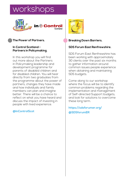# workshops



#### **The Power of Partners.**

#### **In Control Scotland - Partners in Policymaking.**

In this workshop you will find out more about the Partners in Policymaking leadership and development programme for parents of disabled children and for disabled children. You will hear directly from two graduates from the programme about the power of partners, changes they have made and how individuals and family members can plan and imagine better. There will be a chance to reflect on what you have heard and discuss the impact of investing in people with lived experience.

#### **@InControlScot**



#### **Breaking Down Barriers.**

#### **SDS Forum East Renfrewshire.**

SDS Forum East Renfrewshire has been working with approximately 30 clients over the past six months to gather information around common issues people experience when obtaining and maintaining SDS budgets.

Come along to our workshop where the focus will be to identify common problems regarding the implementation and management of Self-directed Support budgets, and look for solutions to overcome these long term.

**https://sdsforumer.org/ @SDSforumER**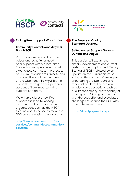

#### **Making Peer Support Work for You.**

#### **Community Contacts and Argyll & Bute HSCP.**

Participants will learn about the values and benefits of good peer support within a local area. Connecting with people with similar experiences can make the process of SDS much easier to navigate and manage. There will be members of the Oban and Mid Argyll Blether Group there to give their personal account of how important this support is to them.

We will also discuss how Peer support can lead to working with the SDS Forum and other organisations such as the HSCP to bring about change to make the SDS process easier to understand.

**http://www.carrgomm.org/ourservices/communities/communitycontacts**



#### **The Employer Quality Standard Journey.**

#### **Self-directed Support Service Dundee and Angus.**

This session will explain the history, development and current testing of the Employment Quality Standard (EQS) followed by an update on the current situation including the number of employers undertaking the Standard and feedback to date. The session will also look at questions such as quality consistency, sustainability of running an EQS programme along with the possibility and associated challenges of sharing the EQS with other interested areas.

**http://directpayments.org/**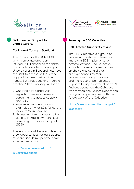

#### **Self-directed Support for unpaid Carers.**

#### **Coalition of Carers in Scotland.**

The Carers (Scotland) Act 2016 which came into effect on 1st April 2018 enhances the rights of unpaid carers to access support. Unpaid carers in Scotland now have the right to access Self-directed Support to meet their eligible needs. But what does this mean in practice? This workshop will look at:

- i. what the new Carers Act legislation means in terms of carers right to access support and SDS;
- ii. explore some scenarios and examples of what SDS for carers looks like/could look like;
- iii. discuss what more needs to be done to increase awareness of carers right to access support (SDS).

The workshop will be interactive and allow opportunities for participants to share and draw upon their own experiences of SDS.

#### **http://www.carersnet.org/ @CarersCoalition**



#### **Forming the SDS Collective.**

#### **Self Directed Support Scotland.**

The SDS Collective is a group of people with a shared interest in improving SDS implementation across Scotland. The Collective exists to address the restrictions on choice and control that are experienced by many people when trying to access and make use of Self-directed Support. During this workshop you'll find out about how the Collective was formed, the Launch Report and how you can get involved with the future work of the Collective.

**https://www.sdsscotland.org.uk/ @sdsscot**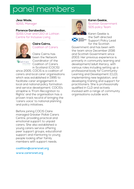## panel members

#### **Jess Wade,**

SDSS, Manager

#### **Florence Garabedian,**

SDSS Chair and CEO at Lothian Centre for Inclusive Living



coalition

#### **Claire Cairns,** Coalition of Carers

Claire Cairns has been the Network Coordinator of the Coalition of Carers in Scotland (COCIS)

since 2005. COCIS is a coalition of carers and local carer organisations which was established in 1995 to facilitate carer engagement in local and national policy formation and service development. COCIS's strapline is 'From Recognition to Rights' and the organisation has a proven track record of bringing the 'carers voice' to national planning and policy initiatives.

Before joining COCIS Claire managed Greater Pollok Carers Centre, providing practical and emotional support to unpaid carers. She also established a young carers service offering peer support groups, educational support and mentoring to young people looking after family members with support needs.

**coalition@carersnet.org www.carersnet.org**



### **Karen Geekie,**

Scottish Government SDS policy Team

Scottish<br>Government<br>gov.scot

Karen Geekie is the Self-directed Support Policy Lead for the Scottish

Government and has been with the team since December 2016 and Scottish Government since 2003. Her previous experience is primarily in community learning and development/adult literacy, with various roles including setting up a professional body for Community Learning and Development (CLD), implementing new legislation, and developing training and support for practitioners. She is professionally qualified in CLD and actively involved with a range of community organisations outside work.